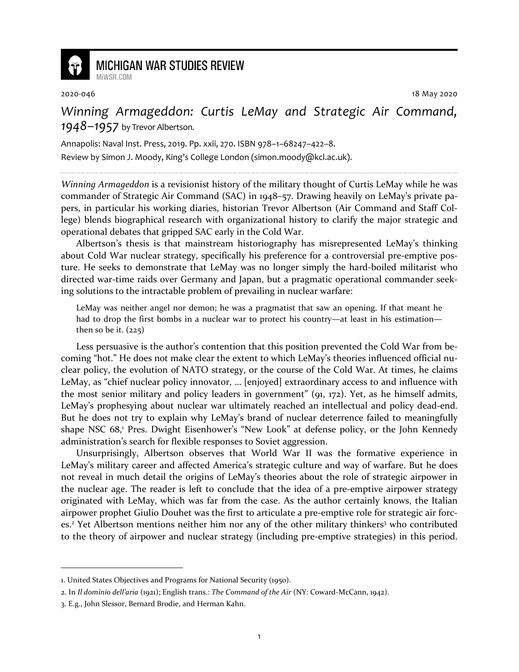

## **MICHIGAN WAR STUDIES REVIEW**

MiWSR COM

2020-046 18 May 2020

## *Winning Armageddon: Curtis LeMay and Strategic Air Command, 1948–1957* by Trevor Albertson.

Annapolis: Naval Inst. Press, 2019. Pp. xxii, 270. ISBN 978–1–68247–422–8.

Review by Simon J. Moody, King's College London (simon.moody@kcl.ac.uk).

*Winning Armageddon* is a revisionist history of the military thought of Curtis LeMay while he was commander of Strategic Air Command (SAC) in 1948–57. Drawing heavily on LeMay's private papers, in particular his working diaries, historian Trevor Albertson (Air Command and Staff College) blends biographical research with organizational history to clarify the major strategic and operational debates that gripped SAC early in the Cold War.

Albertson's thesis is that mainstream historiography has misrepresented LeMay's thinking about Cold War nuclear strategy, specifically his preference for a controversial pre-emptive posture. He seeks to demonstrate that LeMay was no longer simply the hard-boiled militarist who directed war-time raids over Germany and Japan, but a pragmatic operational commander seeking solutions to the intractable problem of prevailing in nuclear warfare:

LeMay was neither angel nor demon; he was a pragmatist that saw an opening. If that meant he had to drop the first bombs in a nuclear war to protect his country—at least in his estimation then so be it.  $(225)$ 

Less persuasive is the author's contention that this position prevented the Cold War from becoming "hot." He does not make clear the extent to which LeMay's theories influenced official nuclear policy, the evolution of NATO strategy, or the course of the Cold War. At times, he claims LeMay, as "chief nuclear policy innovator, … [enjoyed] extraordinary access to and influence with the most senior military and policy leaders in government" (91, 172). Yet, as he himself admits, LeMay's prophesying about nuclear war ultimately reached an intellectual and policy dead-end. But he does not try to explain why LeMay's brand of nuclear deterrence failed to meaningfully shape NSC 68,<sup>1</sup> Pres. Dwight Eisenhower's "New Look" at defense policy, or the John Kennedy administration's search for flexible responses to Soviet aggression.

Unsurprisingly, Albertson observes that World War II was the formative experience in LeMay's military career and affected America's strategic culture and way of warfare. But he does not reveal in much detail the origins of LeMay's theories about the role of strategic airpower in the nuclear age. The reader is left to conclude that the idea of a pre-emptive airpower strategy originated with LeMay, which was far from the case. As the author certainly knows, the Italian airpower prophet Giulio Douhet was the first to articulate a pre-emptive role for strategic air forces.<sup>2</sup> Yet Albertson mentions neither him nor any of the other military thinkers<sup>3</sup> who contributed to the theory of airpower and nuclear strategy (including pre-emptive strategies) in this period.

<sup>1.</sup> United States Objectives and Programs for National Security (1950).

<sup>2.</sup> In *Il dominio dell'aria* (1921); English trans.: *The Command of the Air* (NY: Coward-McCann, 1942).

<sup>3.</sup> E.g., John Slessor, Bernard Brodie, and Herman Kahn.